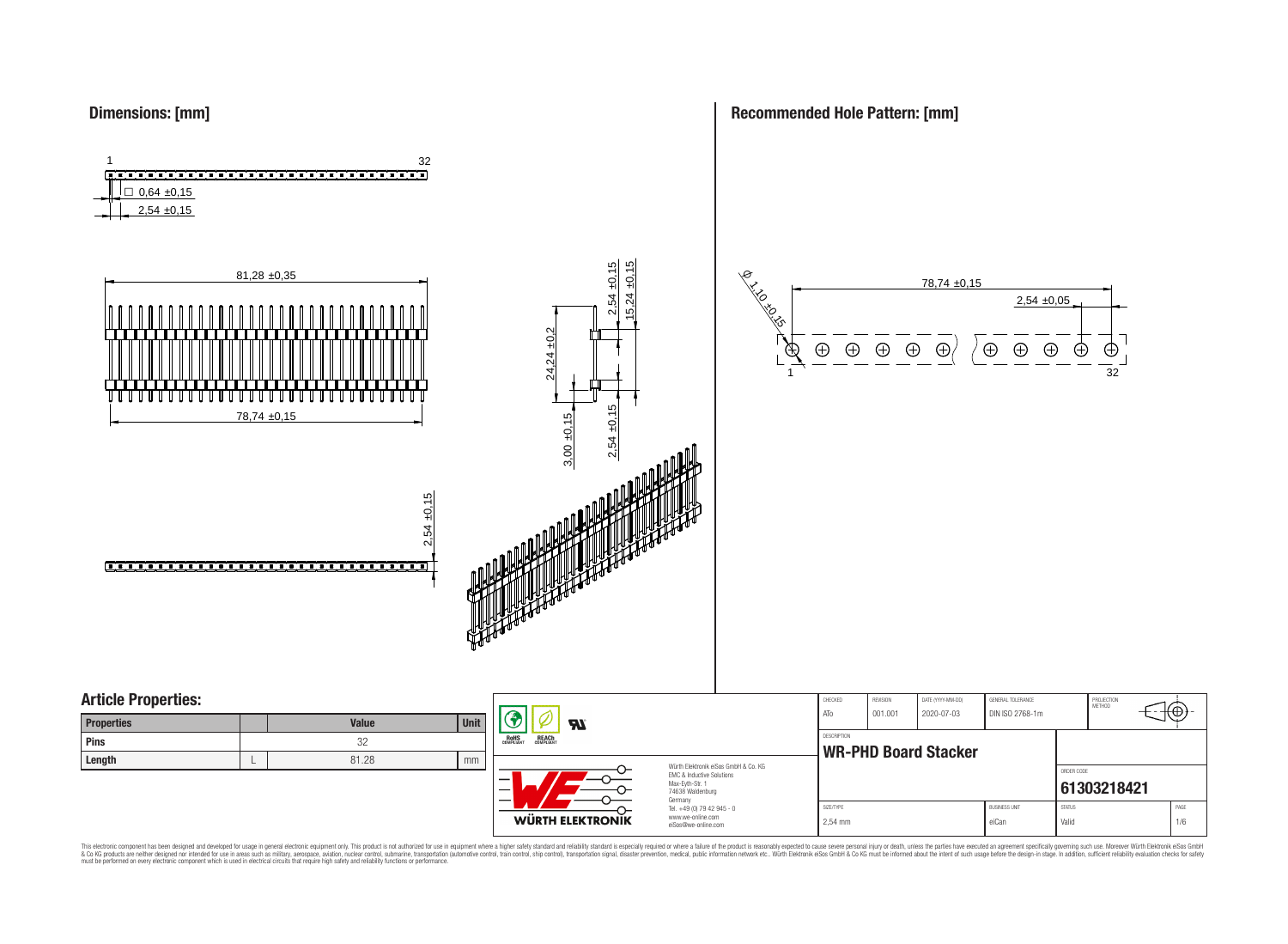

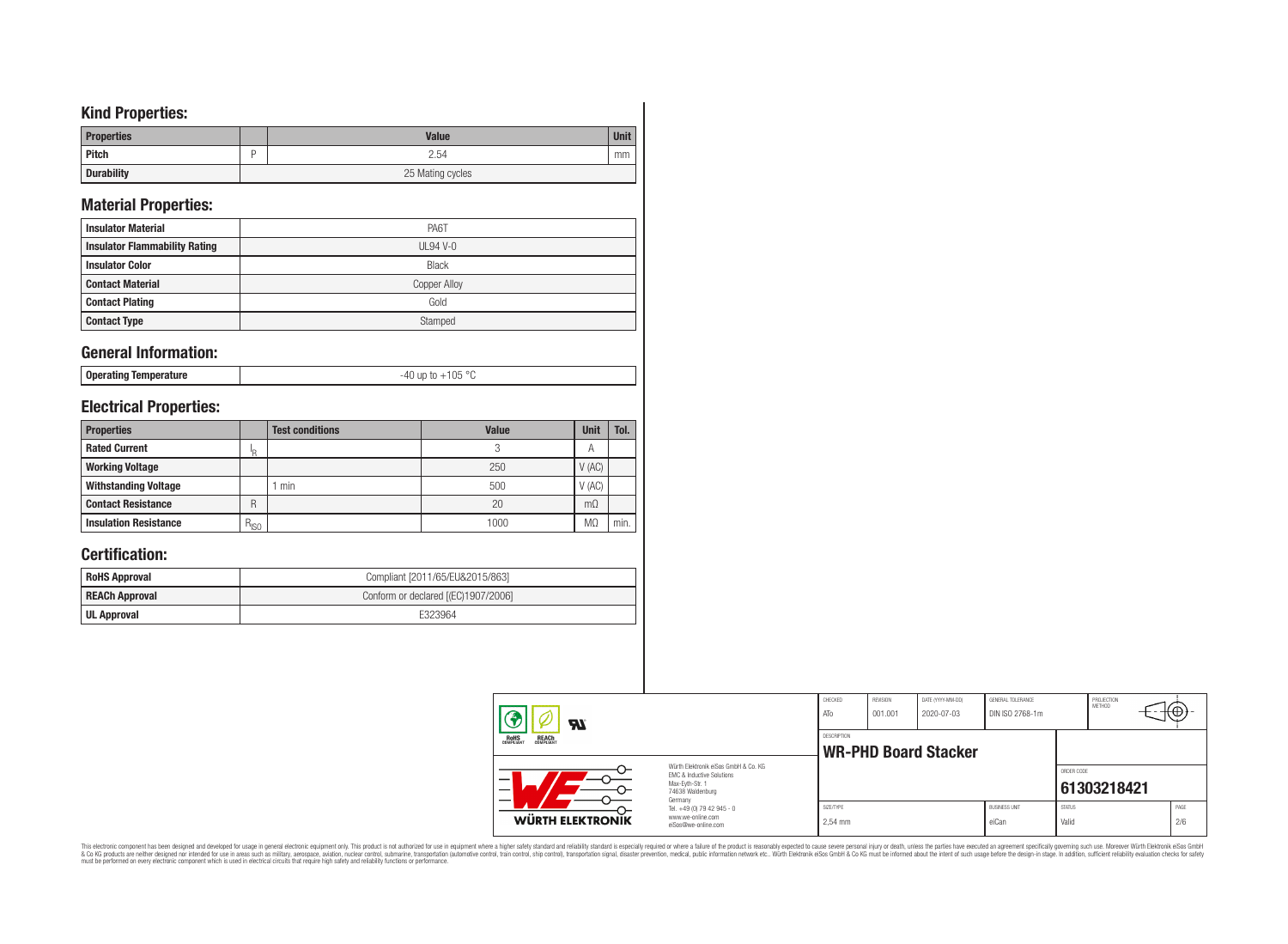# **Kind Properties:**

| <b>Properties</b> | <b>Value</b>     | <b>Unit</b> |  |  |  |  |
|-------------------|------------------|-------------|--|--|--|--|
| <b>Pitch</b>      | 2.54             | mm          |  |  |  |  |
| <b>Durability</b> | 25 Mating cycles |             |  |  |  |  |

# **Material Properties:**

| <b>Insulator Material</b>            | PA6T                |
|--------------------------------------|---------------------|
| <b>Insulator Flammability Rating</b> | $UL94V-0$           |
| <b>Insulator Color</b>               | <b>Black</b>        |
| <b>Contact Material</b>              | <b>Copper Alloy</b> |
| <b>Contact Plating</b>               | Gold                |
| <b>Contact Type</b>                  | Stamped             |

# **General Information:**

|--|

# **Electrical Properties:**

| <b>Properties</b>            |           | <b>Test conditions</b> | <b>Value</b> | Unit           | Tol. |
|------------------------------|-----------|------------------------|--------------|----------------|------|
| <b>Rated Current</b>         | ΙR        |                        |              | $\overline{A}$ |      |
| <b>Working Voltage</b>       |           |                        | 250          | V(AC)          |      |
| <b>Withstanding Voltage</b>  |           | min                    | 500          | V(AC)          |      |
| <b>Contact Resistance</b>    | R         |                        | 20           | $m\Omega$      |      |
| <b>Insulation Resistance</b> | $R_{ISO}$ |                        | 1000         | M <sub>2</sub> | min. |

# **Certification:**

| <b>RoHS Approval</b>  | Compliant [2011/65/EU&2015/863]     |
|-----------------------|-------------------------------------|
| <b>REACh Approval</b> | Conform or declared [(EC)1907/2006] |
| UL Approval           | E323964                             |

|  | W                                                             |                                                                                                                     | CHECKED<br>ATo       | REVISION<br> 001.001 | DATE (YYYY-MM-DD)<br>2020-07-03 | GENERAL TOLERANCE<br>DIN ISO 2768-1m |                        | PROJECTION<br>METHOD |             |
|--|---------------------------------------------------------------|---------------------------------------------------------------------------------------------------------------------|----------------------|----------------------|---------------------------------|--------------------------------------|------------------------|----------------------|-------------|
|  | DESCRIPTION<br>ROHS<br>COMPLIANT<br><b>REACH</b><br>COMPLIANT |                                                                                                                     |                      |                      | <b>WR-PHD Board Stacker</b>     |                                      |                        |                      |             |
|  | <b>WÜRTH ELEKTRONIK</b>                                       | Würth Elektronik eiSos GmbH & Co. KG<br>FMC & Inductive Solutions<br>Max-Eyth-Str. 1<br>74638 Waldenburg<br>Germany |                      |                      |                                 |                                      | ORDER CODE             | 61303218421          |             |
|  |                                                               | Tel. +49 (0) 79 42 945 - 0<br>www.we-online.com<br>eiSos@we-online.com                                              | SIZE/TYPE<br>2.54 mm |                      |                                 | <b>BUSINESS UNIT</b><br>eiCan        | <b>STATUS</b><br>Valid |                      | PAGE<br>2/6 |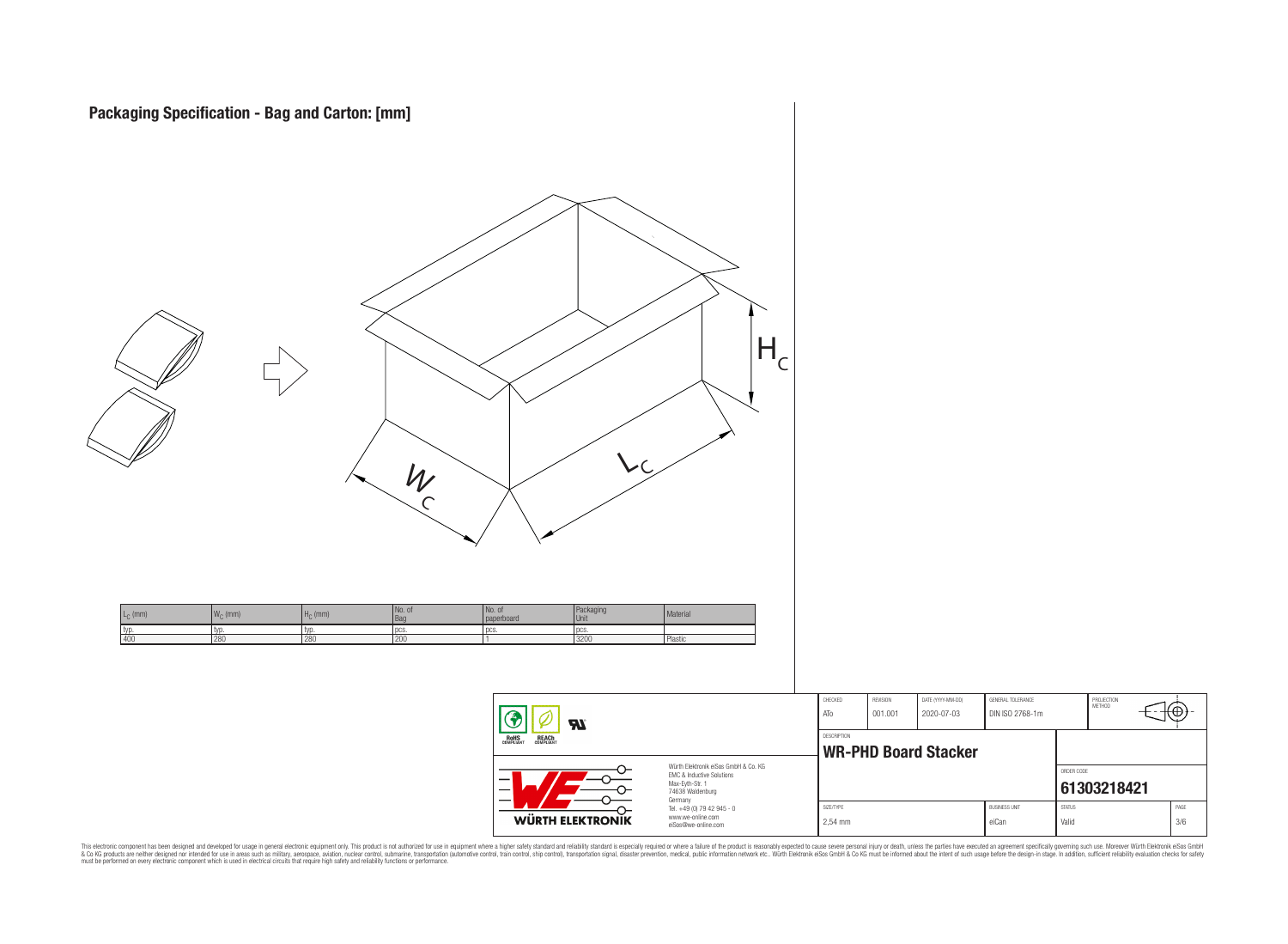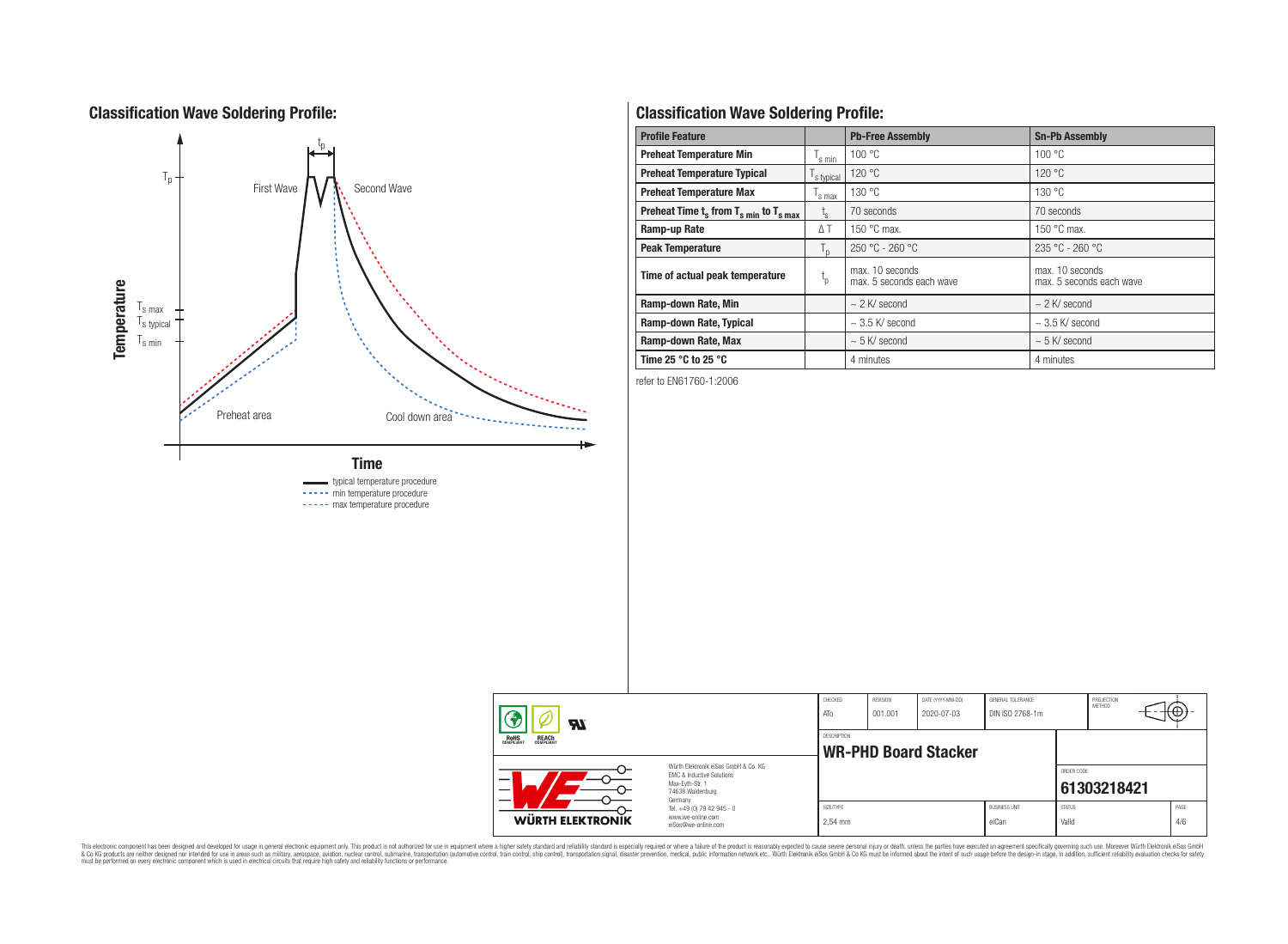# **Classification Wave Soldering Profile:**



# **Classification Wave Soldering Profile:**

| <b>Profile Feature</b>                             |                        | <b>Pb-Free Assembly</b>                     | <b>Sn-Pb Assembly</b>                       |  |  |
|----------------------------------------------------|------------------------|---------------------------------------------|---------------------------------------------|--|--|
| <b>Preheat Temperature Min</b>                     | s min                  | 100 °C                                      | 100 °C                                      |  |  |
| <b>Preheat Temperature Typical</b>                 | s typical              | 120 °C                                      | 120 °C                                      |  |  |
| <b>Preheat Temperature Max</b>                     |                        | 130 °C                                      | 130 °C                                      |  |  |
| Preheat Time $t_s$ from $T_{s,min}$ to $T_{s,max}$ | $L_{\rm S}$            | 70 seconds                                  | 70 seconds                                  |  |  |
| Ramp-up Rate                                       | ΔT                     | 150 $\degree$ C max.                        | 150 $\degree$ C max.                        |  |  |
| <b>Peak Temperature</b>                            | $T_{\text{D}}$         | $250 °C - 260 °C$                           | 235 °C - 260 °C                             |  |  |
| Time of actual peak temperature                    | $\mathfrak{t}_{\rm p}$ | max. 10 seconds<br>max. 5 seconds each wave | max. 10 seconds<br>max. 5 seconds each wave |  |  |
| Ramp-down Rate, Min                                |                        | $\sim$ 2 K/ second                          | $\sim$ 2 K/ second                          |  |  |
| Ramp-down Rate, Typical                            |                        | $\sim$ 3.5 K/ second                        | $\sim$ 3.5 K/ second                        |  |  |
| Ramp-down Rate, Max                                |                        | $\sim$ 5 K/ second                          | $\sim$ 5 K/ second                          |  |  |
| Time 25 $\degree$ C to 25 $\degree$ C              |                        | 4 minutes                                   | 4 minutes                                   |  |  |

refer to EN61760-1:2006

| Ϡ<br><b>R</b>                                         |                                                                                                                     | CHECKED<br>ATo       | REVISION<br>001.001                        | DATE (YYYY-MM-DD)<br>2020-07-03 | GENERAL TOLERANCE<br>DIN ISO 2768-1m |                        | PROJECTION<br><b>METHOD</b> |             |  |  |
|-------------------------------------------------------|---------------------------------------------------------------------------------------------------------------------|----------------------|--------------------------------------------|---------------------------------|--------------------------------------|------------------------|-----------------------------|-------------|--|--|
| <b>ROHS</b><br>COMPLIANT<br><b>REACH</b><br>COMPLIANT |                                                                                                                     |                      | DESCRIPTION<br><b>WR-PHD Board Stacker</b> |                                 |                                      |                        |                             |             |  |  |
| -                                                     | Würth Elektronik eiSos GmbH & Co. KG<br>EMC & Inductive Solutions<br>Max-Evth-Str. 1<br>74638 Waldenburg<br>Germany |                      |                                            |                                 |                                      | ORDER CODE             | 61303218421                 |             |  |  |
| <b>WÜRTH ELEKTRONIK</b>                               | Tel. +49 (0) 79 42 945 - 0<br>www.we-online.com<br>eiSos@we-online.com                                              | SIZE/TYPE<br>2.54 mm |                                            |                                 | <b>BUSINESS UNIT</b><br>eiCan        | <b>STATUS</b><br>Valid |                             | PAGE<br>4/6 |  |  |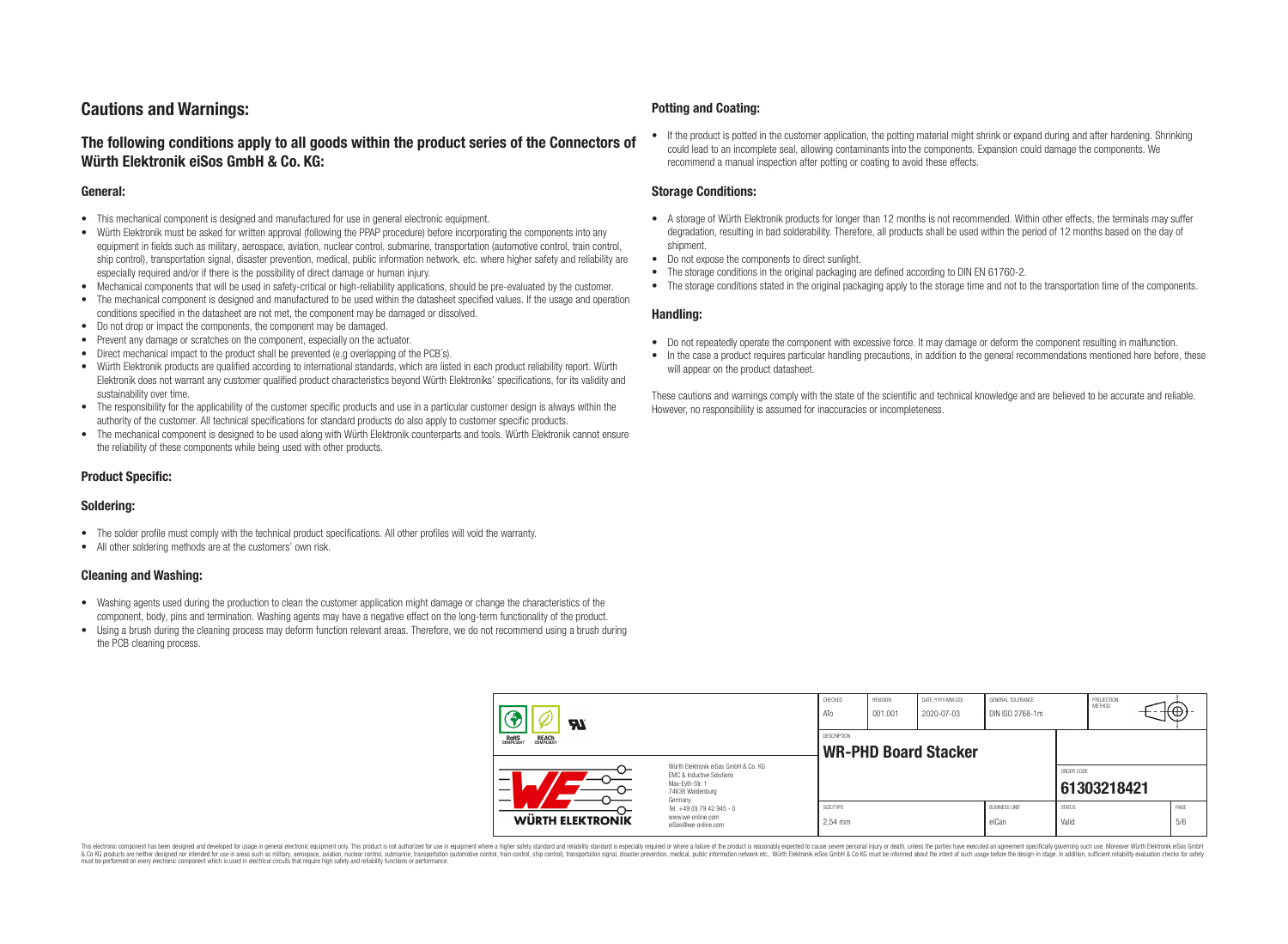# **Cautions and Warnings:**

# **The following conditions apply to all goods within the product series of the Connectors of Würth Elektronik eiSos GmbH & Co. KG:**

#### **General:**

- This mechanical component is designed and manufactured for use in general electronic equipment.
- Würth Elektronik must be asked for written approval (following the PPAP procedure) before incorporating the components into any equipment in fields such as military, aerospace, aviation, nuclear control, submarine, transportation (automotive control, train control, ship control), transportation signal, disaster prevention, medical, public information network, etc. where higher safety and reliability are especially required and/or if there is the possibility of direct damage or human injury.
- Mechanical components that will be used in safety-critical or high-reliability applications, should be pre-evaluated by the customer.
- The mechanical component is designed and manufactured to be used within the datasheet specified values. If the usage and operation conditions specified in the datasheet are not met, the component may be damaged or dissolved.
- Do not drop or impact the components, the component may be damaged.
- Prevent any damage or scratches on the component, especially on the actuator.
- Direct mechanical impact to the product shall be prevented (e.g overlapping of the PCB's).
- Würth Elektronik products are qualified according to international standards, which are listed in each product reliability report. Würth Elektronik does not warrant any customer qualified product characteristics beyond Würth Elektroniks' specifications, for its validity and sustainability over time.
- The responsibility for the applicability of the customer specific products and use in a particular customer design is always within the authority of the customer. All technical specifications for standard products do also apply to customer specific products.
- The mechanical component is designed to be used along with Würth Elektronik counterparts and tools. Würth Elektronik cannot ensure the reliability of these components while being used with other products.

### **Product Specific:**

### **Soldering:**

- The solder profile must comply with the technical product specifications. All other profiles will void the warranty.
- All other soldering methods are at the customers' own risk.

### **Cleaning and Washing:**

- Washing agents used during the production to clean the customer application might damage or change the characteristics of the component, body, pins and termination. Washing agents may have a negative effect on the long-term functionality of the product.
- Using a brush during the cleaning process may deform function relevant areas. Therefore, we do not recommend using a brush during the PCB cleaning process.

#### **Potting and Coating:**

• If the product is potted in the customer application, the potting material might shrink or expand during and after hardening. Shrinking could lead to an incomplete seal, allowing contaminants into the components. Expansion could damage the components. We recommend a manual inspection after potting or coating to avoid these effects.

#### **Storage Conditions:**

- A storage of Würth Elektronik products for longer than 12 months is not recommended. Within other effects, the terminals may suffer degradation, resulting in bad solderability. Therefore, all products shall be used within the period of 12 months based on the day of shipment.
- Do not expose the components to direct sunlight.
- The storage conditions in the original packaging are defined according to DIN EN 61760-2.
- The storage conditions stated in the original packaging apply to the storage time and not to the transportation time of the components.

#### **Handling:**

- Do not repeatedly operate the component with excessive force. It may damage or deform the component resulting in malfunction.
- In the case a product requires particular handling precautions, in addition to the general recommendations mentioned here before, these will appear on the product datasheet.

These cautions and warnings comply with the state of the scientific and technical knowledge and are believed to be accurate and reliable. However, no responsibility is assumed for inaccuracies or incompleteness.

| <b>ZZ</b><br><b>REACH</b><br>COMPLIANT<br>ROHS<br>COMPLIANT |                                                                                                                                                                                               | CHECKED<br>ATO                                    | REVISION<br>001.001 | DATE (YYYY-MM-DD)<br>2020-07-03 | GENERAL TOLERANCE<br>DIN ISO 2768-1m |                        | PROJECTION<br>METHOD |  | ₩           |
|-------------------------------------------------------------|-----------------------------------------------------------------------------------------------------------------------------------------------------------------------------------------------|---------------------------------------------------|---------------------|---------------------------------|--------------------------------------|------------------------|----------------------|--|-------------|
|                                                             |                                                                                                                                                                                               | <b>DESCRIPTION</b><br><b>WR-PHD Board Stacker</b> |                     |                                 |                                      |                        |                      |  |             |
| –                                                           | Würth Elektronik eiSos GmbH & Co. KG<br>EMC & Inductive Solutions<br>Max-Eyth-Str. 1<br>74638 Waldenburg<br>Germany<br>Tel. +49 (0) 79 42 945 - 0<br>www.we-online.com<br>eiSos@we-online.com |                                                   |                     |                                 |                                      | ORDER CODE             | 61303218421          |  |             |
| <b>WÜRTH ELEKTRONIK</b>                                     |                                                                                                                                                                                               | SIZE/TYPE<br>2.54 mm                              |                     |                                 | <b>BUSINESS UNIT</b><br>eiCan        | <b>STATUS</b><br>Valid |                      |  | PAGE<br>5/6 |

This electronic component has been designed and developed for usage in general electronic equipment only. This product is not authorized for use in equipment where a higher safety standard and reliability standard si espec & Ook product a label and the membed of the seasuch as marked and as which such a membed and the such assume that income in the seasuch and the simulation and the such assume that include to the such a membed and the such